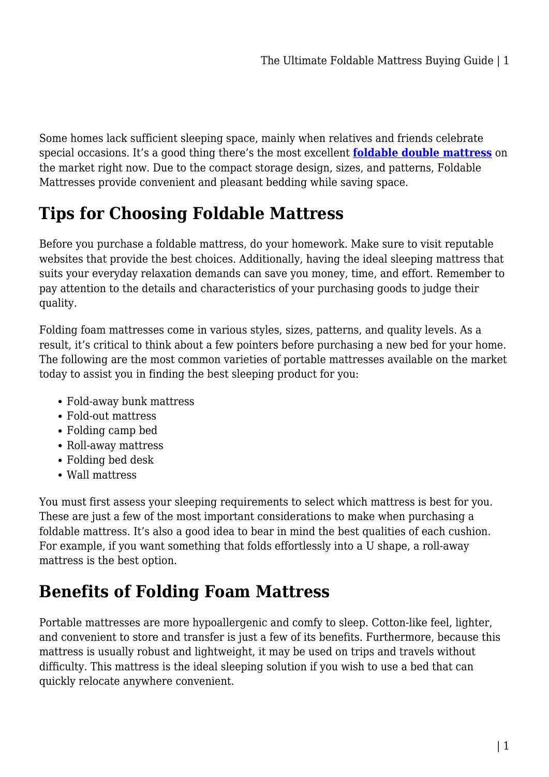Some homes lack sufficient sleeping space, mainly when relatives and friends celebrate special occasions. It's a good thing there's the most excellent **[foldable double mattress](https://mattressoffers.com.au/mattress/foldable-mattress/)** on the market right now. Due to the compact storage design, sizes, and patterns, Foldable Mattresses provide convenient and pleasant bedding while saving space.

# **Tips for Choosing Foldable Mattress**

Before you purchase a foldable mattress, do your homework. Make sure to visit reputable websites that provide the best choices. Additionally, having the ideal sleeping mattress that suits your everyday relaxation demands can save you money, time, and effort. Remember to pay attention to the details and characteristics of your purchasing goods to judge their quality.

Folding foam mattresses come in various styles, sizes, patterns, and quality levels. As a result, it's critical to think about a few pointers before purchasing a new bed for your home. The following are the most common varieties of portable mattresses available on the market today to assist you in finding the best sleeping product for you:

- Fold-away bunk mattress
- Fold-out mattress
- Folding camp bed
- Roll-away mattress
- Folding bed desk
- Wall mattress

You must first assess your sleeping requirements to select which mattress is best for you. These are just a few of the most important considerations to make when purchasing a foldable mattress. It's also a good idea to bear in mind the best qualities of each cushion. For example, if you want something that folds effortlessly into a U shape, a roll-away mattress is the best option.

## **Benefits of Folding Foam Mattress**

Portable mattresses are more hypoallergenic and comfy to sleep. Cotton-like feel, lighter, and convenient to store and transfer is just a few of its benefits. Furthermore, because this mattress is usually robust and lightweight, it may be used on trips and travels without difficulty. This mattress is the ideal sleeping solution if you wish to use a bed that can quickly relocate anywhere convenient.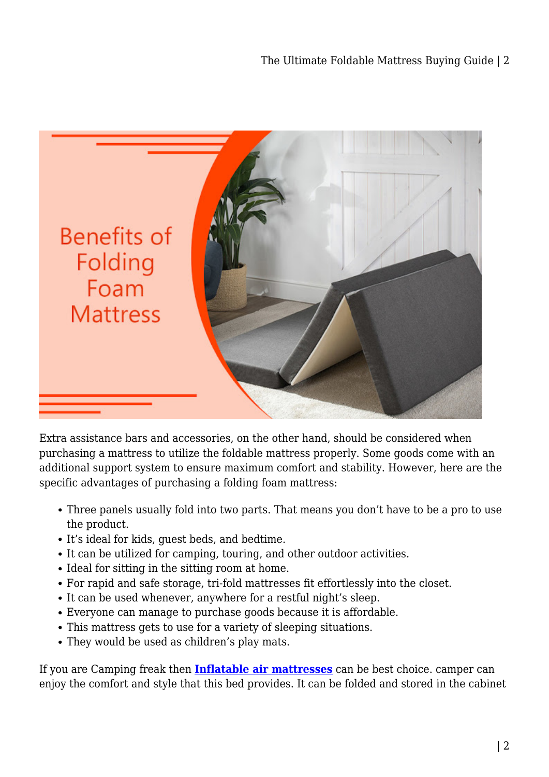

Extra assistance bars and accessories, on the other hand, should be considered when purchasing a mattress to utilize the foldable mattress properly. Some goods come with an additional support system to ensure maximum comfort and stability. However, here are the specific advantages of purchasing a folding foam mattress:

- Three panels usually fold into two parts. That means you don't have to be a pro to use the product.
- It's ideal for kids, guest beds, and bedtime.
- It can be utilized for camping, touring, and other outdoor activities.
- Ideal for sitting in the sitting room at home.
- For rapid and safe storage, tri-fold mattresses fit effortlessly into the closet.
- It can be used whenever, anywhere for a restful night's sleep.
- Everyone can manage to purchase goods because it is affordable.
- This mattress gets to use for a variety of sleeping situations.
- They would be used as children's play mats.

If you are Camping freak then **[Inflatable air mattresses](https://mattressoffers.com.au/inflatable-mattress/)** can be best choice. camper can enjoy the comfort and style that this bed provides. It can be folded and stored in the cabinet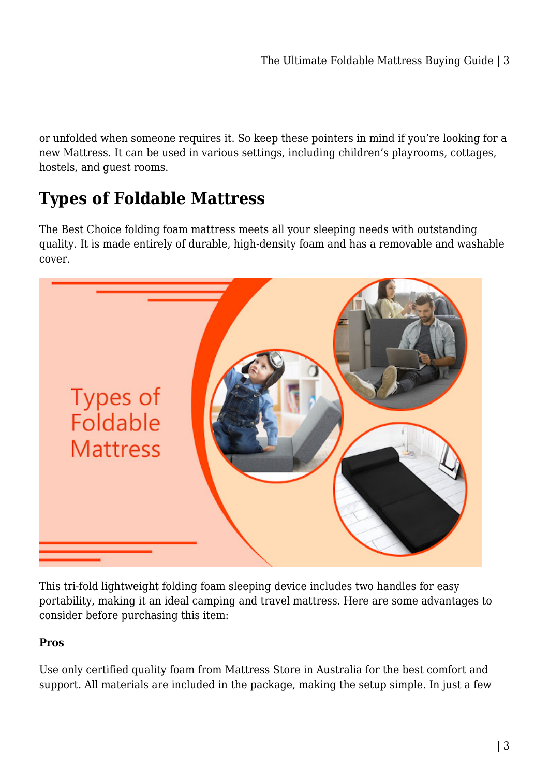or unfolded when someone requires it. So keep these pointers in mind if you're looking for a new Mattress. It can be used in various settings, including children's playrooms, cottages, hostels, and guest rooms.

# **Types of Foldable Mattress**

The Best Choice folding foam mattress meets all your sleeping needs with outstanding quality. It is made entirely of durable, high-density foam and has a removable and washable cover.



This tri-fold lightweight folding foam sleeping device includes two handles for easy portability, making it an ideal camping and travel mattress. Here are some advantages to consider before purchasing this item:

### **Pros**

Use only certified quality foam from Mattress Store in Australia for the best comfort and support. All materials are included in the package, making the setup simple. In just a few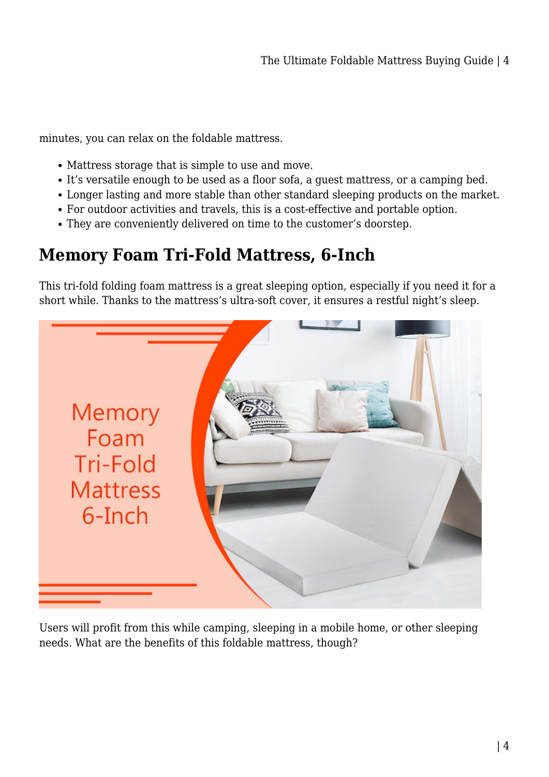minutes, you can relax on the foldable mattress.

- Mattress storage that is simple to use and move.
- It's versatile enough to be used as a floor sofa, a guest mattress, or a camping bed.
- Longer lasting and more stable than other standard sleeping products on the market.
- For outdoor activities and travels, this is a cost-effective and portable option.
- They are conveniently delivered on time to the customer's doorstep.

## **Memory Foam Tri-Fold Mattress, 6-Inch**

This tri-fold folding foam mattress is a great sleeping option, especially if you need it for a short while. Thanks to the mattress's ultra-soft cover, it ensures a restful night's sleep.



Users will profit from this while camping, sleeping in a mobile home, or other sleeping needs. What are the benefits of this foldable mattress, though?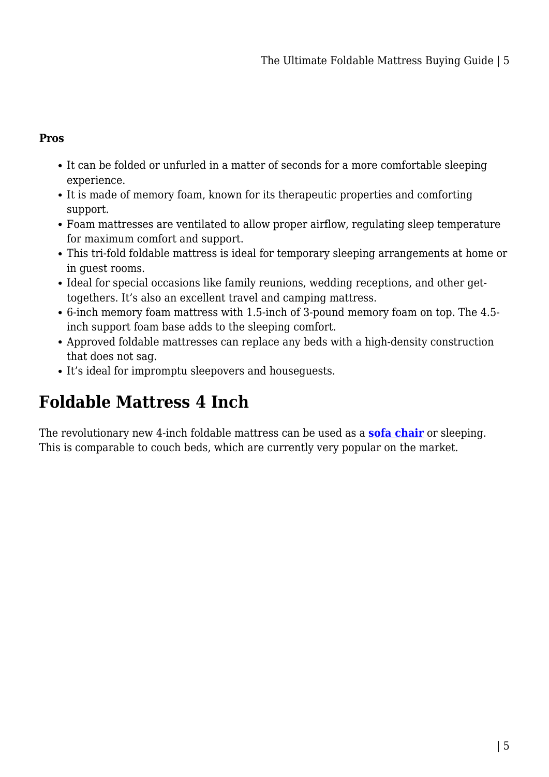#### **Pros**

- It can be folded or unfurled in a matter of seconds for a more comfortable sleeping experience.
- It is made of memory foam, known for its therapeutic properties and comforting support.
- Foam mattresses are ventilated to allow proper airflow, regulating sleep temperature for maximum comfort and support.
- This tri-fold foldable mattress is ideal for temporary sleeping arrangements at home or in guest rooms.
- Ideal for special occasions like family reunions, wedding receptions, and other gettogethers. It's also an excellent travel and camping mattress.
- 6-inch memory foam mattress with 1.5-inch of 3-pound memory foam on top. The 4.5 inch support foam base adds to the sleeping comfort.
- Approved foldable mattresses can replace any beds with a high-density construction that does not sag.
- It's ideal for impromptu sleepovers and houseguests.

# **Foldable Mattress 4 Inch**

The revolutionary new 4-inch foldable mattress can be used as a **[sofa chair](https://mattressoffers.com.au/chairs/sofa-chair/)** or sleeping. This is comparable to couch beds, which are currently very popular on the market.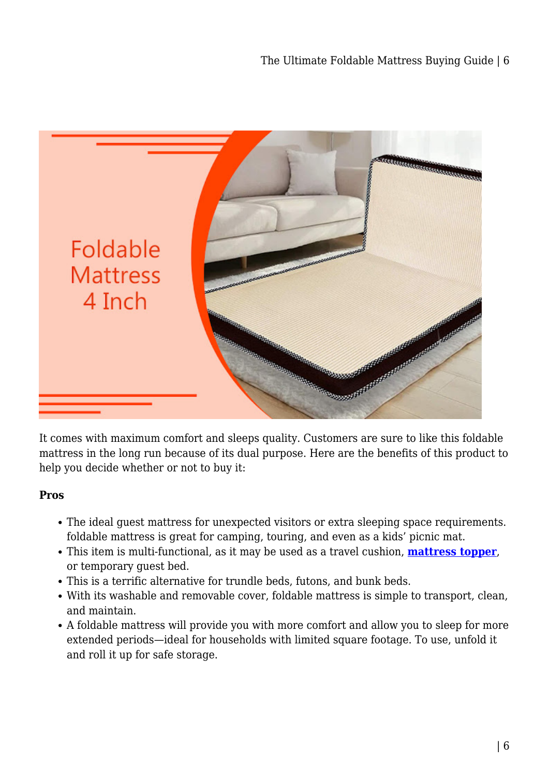

It comes with maximum comfort and sleeps quality. Customers are sure to like this foldable mattress in the long run because of its dual purpose. Here are the benefits of this product to help you decide whether or not to buy it:

#### **Pros**

- The ideal guest mattress for unexpected visitors or extra sleeping space requirements. foldable mattress is great for camping, touring, and even as a kids' picnic mat.
- This item is multi-functional, as it may be used as a travel cushion, **[mattress topper](https://mattressoffers.com.au/mattress-topper/)**, or temporary guest bed.
- This is a terrific alternative for trundle beds, futons, and bunk beds.
- With its washable and removable cover, foldable mattress is simple to transport, clean, and maintain.
- A foldable mattress will provide you with more comfort and allow you to sleep for more extended periods—ideal for households with limited square footage. To use, unfold it and roll it up for safe storage.